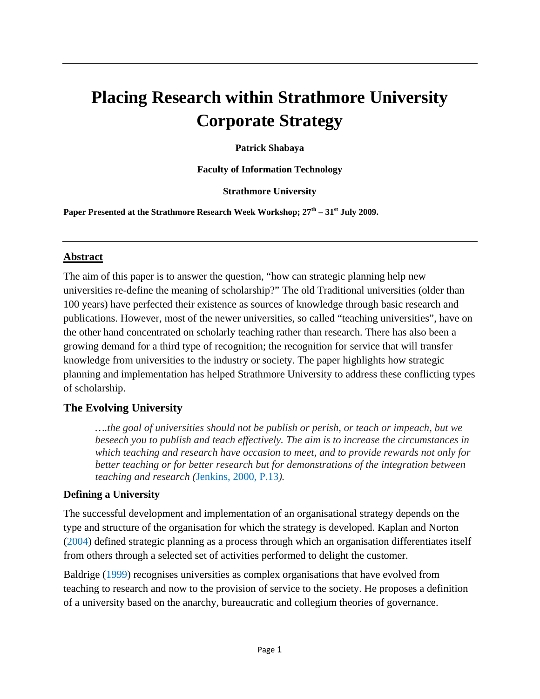# **Placing Research within Strathmore University Corporate Strategy**

**Patrick Shabaya** 

**Faculty of Information Technology** 

**Strathmore University** 

Paper Presented at the Strathmore Research Week Workshop;  $27^{\text{th}} - 31^{\text{st}}$  July 2009.

#### **Abstract**

The aim of this paper is to answer the question, "how can strategic planning help new universities re-define the meaning of scholarship?" The old Traditional universities (older than 100 years) have perfected their existence as sources of knowledge through basic research and publications. However, most of the newer universities, so called "teaching universities", have on the other hand concentrated on scholarly teaching rather than research. There has also been a growing demand for a third type of recognition; the recognition for service that will transfer knowledge from universities to the industry or society. The paper highlights how strategic planning and implementation has helped Strathmore University to address these conflicting types of scholarship.

### **The Evolving University**

*….the goal of universities should not be publish or perish, or teach or impeach, but we beseech you to publish and teach effectively. The aim is to increase the circumstances in which teaching and research have occasion to meet, and to provide rewards not only for better teaching or for better research but for demonstrations of the integration between teaching and research (*Jenkins, 2000, P.13*).*

#### **Defining a University**

The successful development and implementation of an organisational strategy depends on the type and structure of the organisation for which the strategy is developed. Kaplan and Norton (2004) defined strategic planning as a process through which an organisation differentiates itself from others through a selected set of activities performed to delight the customer.

Baldrige (1999) recognises universities as complex organisations that have evolved from teaching to research and now to the provision of service to the society. He proposes a definition of a university based on the anarchy, bureaucratic and collegium theories of governance.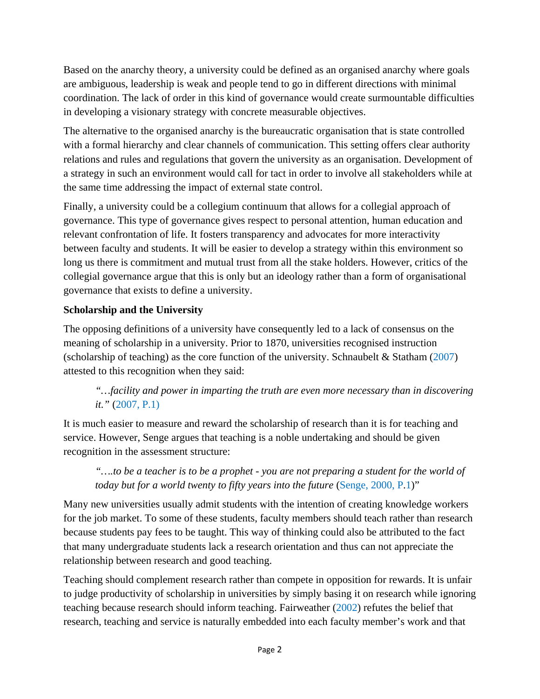Based on the anarchy theory, a university could be defined as an organised anarchy where goals are ambiguous, leadership is weak and people tend to go in different directions with minimal coordination. The lack of order in this kind of governance would create surmountable difficulties in developing a visionary strategy with concrete measurable objectives.

The alternative to the organised anarchy is the bureaucratic organisation that is state controlled with a formal hierarchy and clear channels of communication. This setting offers clear authority relations and rules and regulations that govern the university as an organisation. Development of a strategy in such an environment would call for tact in order to involve all stakeholders while at the same time addressing the impact of external state control.

Finally, a university could be a collegium continuum that allows for a collegial approach of governance. This type of governance gives respect to personal attention, human education and relevant confrontation of life. It fosters transparency and advocates for more interactivity between faculty and students. It will be easier to develop a strategy within this environment so long us there is commitment and mutual trust from all the stake holders. However, critics of the collegial governance argue that this is only but an ideology rather than a form of organisational governance that exists to define a university.

## **Scholarship and the University**

The opposing definitions of a university have consequently led to a lack of consensus on the meaning of scholarship in a university. Prior to 1870, universities recognised instruction (scholarship of teaching) as the core function of the university. Schnaubelt & Statham  $(2007)$ attested to this recognition when they said:

## *"…facility and power in imparting the truth are even more necessary than in discovering it."* (2007, P.1)

It is much easier to measure and reward the scholarship of research than it is for teaching and service. However, Senge argues that teaching is a noble undertaking and should be given recognition in the assessment structure:

*"….to be a teacher is to be a prophet - you are not preparing a student for the world of today but for a world twenty to fifty years into the future* (Senge, 2000, P.1)"

Many new universities usually admit students with the intention of creating knowledge workers for the job market. To some of these students, faculty members should teach rather than research because students pay fees to be taught. This way of thinking could also be attributed to the fact that many undergraduate students lack a research orientation and thus can not appreciate the relationship between research and good teaching.

Teaching should complement research rather than compete in opposition for rewards. It is unfair to judge productivity of scholarship in universities by simply basing it on research while ignoring teaching because research should inform teaching. Fairweather (2002) refutes the belief that research, teaching and service is naturally embedded into each faculty member's work and that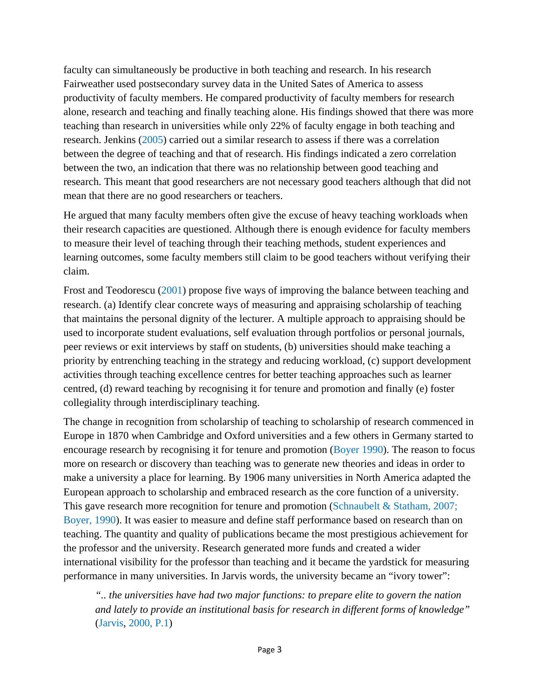faculty can simultaneously be productive in both teaching and research. In his research Fairweather used postsecondary survey data in the United Sates of America to assess productivity of faculty members. He compared productivity of faculty members for research alone, research and teaching and finally teaching alone. His findings showed that there was more teaching than research in universities while only 22% of faculty engage in both teaching and research. Jenkins (2005) carried out a similar research to assess if there was a correlation between the degree of teaching and that of research. His findings indicated a zero correlation between the two, an indication that there was no relationship between good teaching and research. This meant that good researchers are not necessary good teachers although that did not mean that there are no good researchers or teachers.

He argued that many faculty members often give the excuse of heavy teaching workloads when their research capacities are questioned. Although there is enough evidence for faculty members to measure their level of teaching through their teaching methods, student experiences and learning outcomes, some faculty members still claim to be good teachers without verifying their claim.

Frost and Teodorescu (2001) propose five ways of improving the balance between teaching and research. (a) Identify clear concrete ways of measuring and appraising scholarship of teaching that maintains the personal dignity of the lecturer. A multiple approach to appraising should be used to incorporate student evaluations, self evaluation through portfolios or personal journals, peer reviews or exit interviews by staff on students, (b) universities should make teaching a priority by entrenching teaching in the strategy and reducing workload, (c) support development activities through teaching excellence centres for better teaching approaches such as learner centred, (d) reward teaching by recognising it for tenure and promotion and finally (e) foster collegiality through interdisciplinary teaching.

The change in recognition from scholarship of teaching to scholarship of research commenced in Europe in 1870 when Cambridge and Oxford universities and a few others in Germany started to encourage research by recognising it for tenure and promotion (Boyer 1990). The reason to focus more on research or discovery than teaching was to generate new theories and ideas in order to make a university a place for learning. By 1906 many universities in North America adapted the European approach to scholarship and embraced research as the core function of a university. This gave research more recognition for tenure and promotion (Schnaubelt & Statham, 2007; Boyer, 1990). It was easier to measure and define staff performance based on research than on teaching. The quantity and quality of publications became the most prestigious achievement for the professor and the university. Research generated more funds and created a wider international visibility for the professor than teaching and it became the yardstick for measuring performance in many universities. In Jarvis words, the university became an "ivory tower":

*".. the universities have had two major functions: to prepare elite to govern the nation and lately to provide an institutional basis for research in different forms of knowledge"*  (Jarvis, 2000, P.1)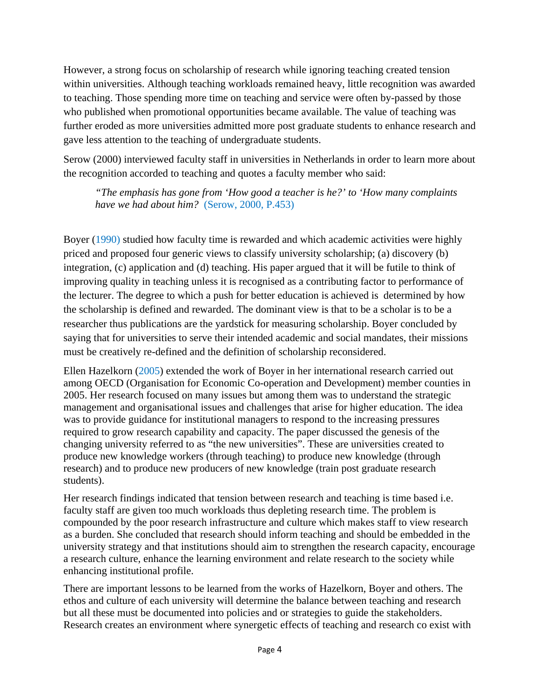However, a strong focus on scholarship of research while ignoring teaching created tension within universities. Although teaching workloads remained heavy, little recognition was awarded to teaching. Those spending more time on teaching and service were often by-passed by those who published when promotional opportunities became available. The value of teaching was further eroded as more universities admitted more post graduate students to enhance research and gave less attention to the teaching of undergraduate students.

Serow (2000) interviewed faculty staff in universities in Netherlands in order to learn more about the recognition accorded to teaching and quotes a faculty member who said:

*"The emphasis has gone from 'How good a teacher is he?' to 'How many complaints have we had about him?* (Serow, 2000, P.453)

Boyer (1990) studied how faculty time is rewarded and which academic activities were highly priced and proposed four generic views to classify university scholarship; (a) discovery (b) integration, (c) application and (d) teaching. His paper argued that it will be futile to think of improving quality in teaching unless it is recognised as a contributing factor to performance of the lecturer. The degree to which a push for better education is achieved is determined by how the scholarship is defined and rewarded. The dominant view is that to be a scholar is to be a researcher thus publications are the yardstick for measuring scholarship. Boyer concluded by saying that for universities to serve their intended academic and social mandates, their missions must be creatively re-defined and the definition of scholarship reconsidered.

Ellen Hazelkorn (2005) extended the work of Boyer in her international research carried out among OECD (Organisation for Economic Co-operation and Development) member counties in 2005. Her research focused on many issues but among them was to understand the strategic management and organisational issues and challenges that arise for higher education. The idea was to provide guidance for institutional managers to respond to the increasing pressures required to grow research capability and capacity. The paper discussed the genesis of the changing university referred to as "the new universities". These are universities created to produce new knowledge workers (through teaching) to produce new knowledge (through research) and to produce new producers of new knowledge (train post graduate research students).

Her research findings indicated that tension between research and teaching is time based i.e. faculty staff are given too much workloads thus depleting research time. The problem is compounded by the poor research infrastructure and culture which makes staff to view research as a burden. She concluded that research should inform teaching and should be embedded in the university strategy and that institutions should aim to strengthen the research capacity, encourage a research culture, enhance the learning environment and relate research to the society while enhancing institutional profile.

There are important lessons to be learned from the works of Hazelkorn, Boyer and others. The ethos and culture of each university will determine the balance between teaching and research but all these must be documented into policies and or strategies to guide the stakeholders. Research creates an environment where synergetic effects of teaching and research co exist with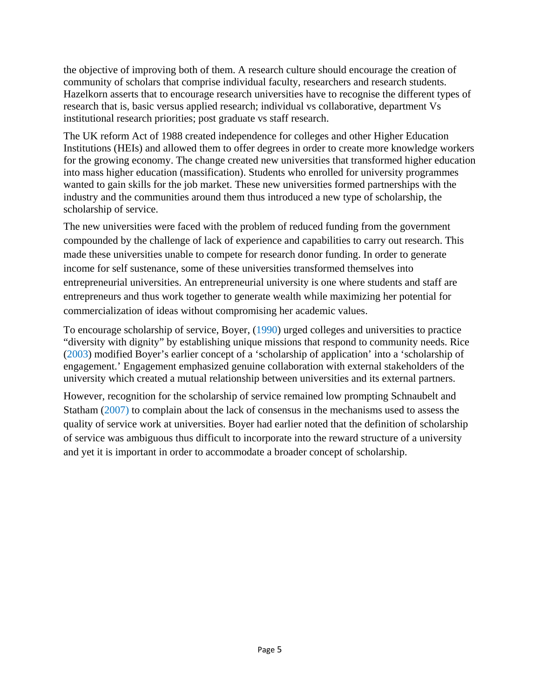the objective of improving both of them. A research culture should encourage the creation of community of scholars that comprise individual faculty, researchers and research students. Hazelkorn asserts that to encourage research universities have to recognise the different types of research that is, basic versus applied research; individual vs collaborative, department Vs institutional research priorities; post graduate vs staff research.

The UK reform Act of 1988 created independence for colleges and other Higher Education Institutions (HEIs) and allowed them to offer degrees in order to create more knowledge workers for the growing economy. The change created new universities that transformed higher education into mass higher education (massification). Students who enrolled for university programmes wanted to gain skills for the job market. These new universities formed partnerships with the industry and the communities around them thus introduced a new type of scholarship, the scholarship of service.

The new universities were faced with the problem of reduced funding from the government compounded by the challenge of lack of experience and capabilities to carry out research. This made these universities unable to compete for research donor funding. In order to generate income for self sustenance, some of these universities transformed themselves into entrepreneurial universities. An entrepreneurial university is one where students and staff are entrepreneurs and thus work together to generate wealth while maximizing her potential for commercialization of ideas without compromising her academic values.

To encourage scholarship of service, Boyer, (1990) urged colleges and universities to practice "diversity with dignity" by establishing unique missions that respond to community needs. Rice (2003) modified Boyer's earlier concept of a 'scholarship of application' into a 'scholarship of engagement.' Engagement emphasized genuine collaboration with external stakeholders of the university which created a mutual relationship between universities and its external partners.

However, recognition for the scholarship of service remained low prompting Schnaubelt and Statham (2007) to complain about the lack of consensus in the mechanisms used to assess the quality of service work at universities. Boyer had earlier noted that the definition of scholarship of service was ambiguous thus difficult to incorporate into the reward structure of a university and yet it is important in order to accommodate a broader concept of scholarship.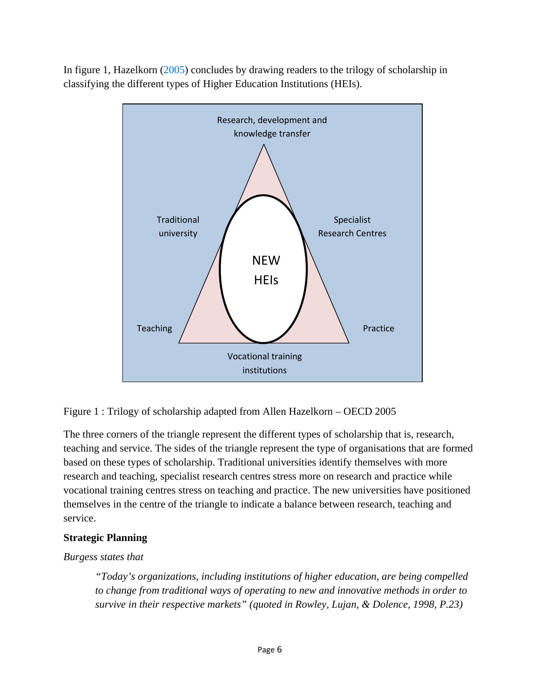In figure 1, Hazelkorn (2005) concludes by drawing readers to the trilogy of scholarship in classifying the different types of Higher Education Institutions (HEIs).



Figure 1 : Trilogy of scholarship adapted from Allen Hazelkorn – OECD 2005

The three corners of the triangle represent the different types of scholarship that is, research, teaching and service. The sides of the triangle represent the type of organisations that are formed based on these types of scholarship. Traditional universities identify themselves with more research and teaching, specialist research centres stress more on research and practice while vocational training centres stress on teaching and practice. The new universities have positioned themselves in the centre of the triangle to indicate a balance between research, teaching and service.

#### **Strategic Planning**

#### *Burgess states that*

*"Today's organizations, including institutions of higher education, are being compelled to change from traditional ways of operating to new and innovative methods in order to survive in their respective markets" (quoted in Rowley, Lujan, & Dolence, 1998, P.23)*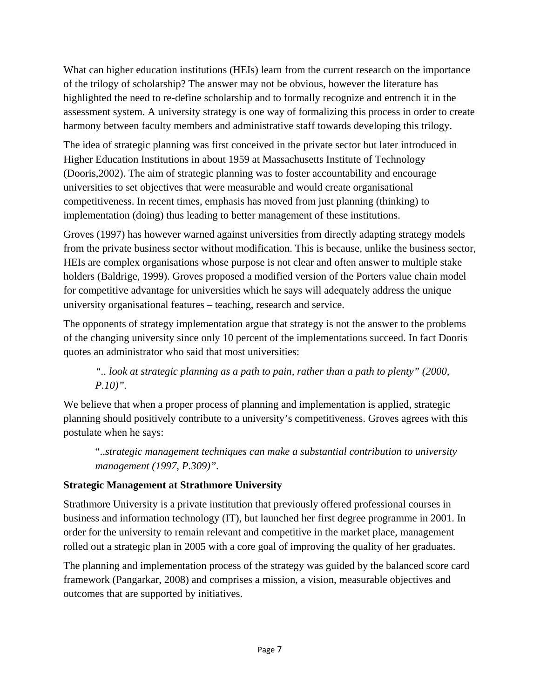What can higher education institutions (HEIs) learn from the current research on the importance of the trilogy of scholarship? The answer may not be obvious, however the literature has highlighted the need to re-define scholarship and to formally recognize and entrench it in the assessment system. A university strategy is one way of formalizing this process in order to create harmony between faculty members and administrative staff towards developing this trilogy.

The idea of strategic planning was first conceived in the private sector but later introduced in Higher Education Institutions in about 1959 at Massachusetts Institute of Technology (Dooris,2002). The aim of strategic planning was to foster accountability and encourage universities to set objectives that were measurable and would create organisational competitiveness. In recent times, emphasis has moved from just planning (thinking) to implementation (doing) thus leading to better management of these institutions.

Groves (1997) has however warned against universities from directly adapting strategy models from the private business sector without modification. This is because, unlike the business sector, HEIs are complex organisations whose purpose is not clear and often answer to multiple stake holders (Baldrige, 1999). Groves proposed a modified version of the Porters value chain model for competitive advantage for universities which he says will adequately address the unique university organisational features – teaching, research and service.

The opponents of strategy implementation argue that strategy is not the answer to the problems of the changing university since only 10 percent of the implementations succeed. In fact Dooris quotes an administrator who said that most universities:

## *".. look at strategic planning as a path to pain, rather than a path to plenty" (2000, P.10)".*

We believe that when a proper process of planning and implementation is applied, strategic planning should positively contribute to a university's competitiveness. Groves agrees with this postulate when he says:

"..*strategic management techniques can make a substantial contribution to university management (1997, P.309)".*

## **Strategic Management at Strathmore University**

Strathmore University is a private institution that previously offered professional courses in business and information technology (IT), but launched her first degree programme in 2001. In order for the university to remain relevant and competitive in the market place, management rolled out a strategic plan in 2005 with a core goal of improving the quality of her graduates.

The planning and implementation process of the strategy was guided by the balanced score card framework (Pangarkar, 2008) and comprises a mission, a vision, measurable objectives and outcomes that are supported by initiatives.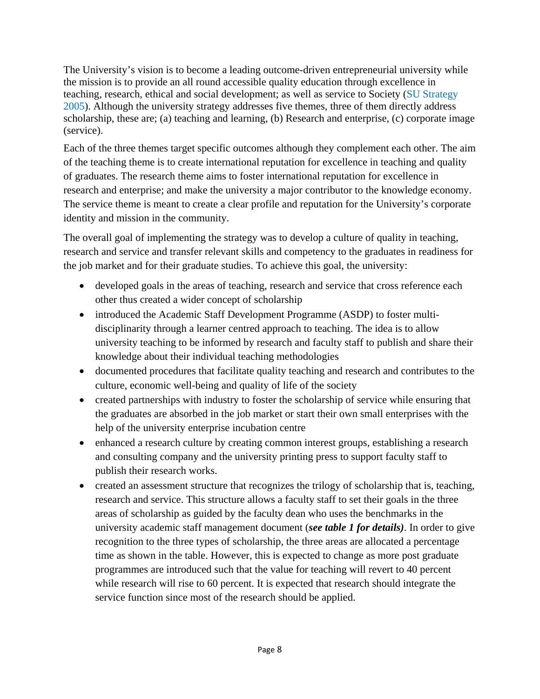The University's vision is to become a leading outcome-driven entrepreneurial university while the mission is to provide an all round accessible quality education through excellence in teaching, research, ethical and social development; as well as service to Society (SU Strategy 2005). Although the university strategy addresses five themes, three of them directly address scholarship, these are; (a) teaching and learning, (b) Research and enterprise, (c) corporate image (service).

Each of the three themes target specific outcomes although they complement each other. The aim of the teaching theme is to create international reputation for excellence in teaching and quality of graduates. The research theme aims to foster international reputation for excellence in research and enterprise; and make the university a major contributor to the knowledge economy. The service theme is meant to create a clear profile and reputation for the University's corporate identity and mission in the community.

The overall goal of implementing the strategy was to develop a culture of quality in teaching, research and service and transfer relevant skills and competency to the graduates in readiness for the job market and for their graduate studies. To achieve this goal, the university:

- developed goals in the areas of teaching, research and service that cross reference each other thus created a wider concept of scholarship
- introduced the Academic Staff Development Programme (ASDP) to foster multidisciplinarity through a learner centred approach to teaching. The idea is to allow university teaching to be informed by research and faculty staff to publish and share their knowledge about their individual teaching methodologies
- documented procedures that facilitate quality teaching and research and contributes to the culture, economic well-being and quality of life of the society
- created partnerships with industry to foster the scholarship of service while ensuring that the graduates are absorbed in the job market or start their own small enterprises with the help of the university enterprise incubation centre
- enhanced a research culture by creating common interest groups, establishing a research and consulting company and the university printing press to support faculty staff to publish their research works.
- created an assessment structure that recognizes the trilogy of scholarship that is, teaching, research and service. This structure allows a faculty staff to set their goals in the three areas of scholarship as guided by the faculty dean who uses the benchmarks in the university academic staff management document (*see table 1 for details)*. In order to give recognition to the three types of scholarship, the three areas are allocated a percentage time as shown in the table. However, this is expected to change as more post graduate programmes are introduced such that the value for teaching will revert to 40 percent while research will rise to 60 percent. It is expected that research should integrate the service function since most of the research should be applied.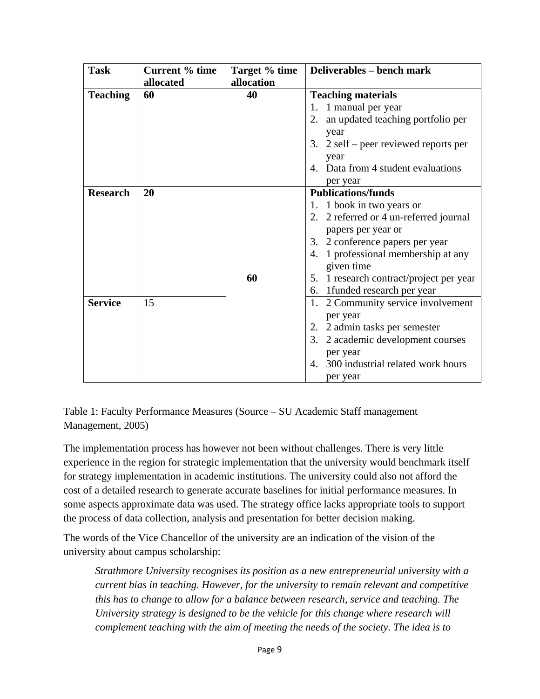| <b>Task</b>     | <b>Current % time</b> | Target % time | Deliverables - bench mark                        |
|-----------------|-----------------------|---------------|--------------------------------------------------|
|                 | allocated             | allocation    |                                                  |
| <b>Teaching</b> | 60                    | 40            | <b>Teaching materials</b>                        |
|                 |                       |               | 1 manual per year<br>1.                          |
|                 |                       |               | an updated teaching portfolio per<br>2.          |
|                 |                       |               | year                                             |
|                 |                       |               | 3. $2$ self – peer reviewed reports per          |
|                 |                       |               | year                                             |
|                 |                       |               | Data from 4 student evaluations<br>$\mathcal{A}$ |
|                 |                       |               | per year                                         |
| <b>Research</b> | 20                    |               | <b>Publications/funds</b>                        |
|                 |                       |               | 1. 1 book in two years or                        |
|                 |                       |               | 2. 2 referred or 4 un-referred journal           |
|                 |                       |               | papers per year or                               |
|                 |                       |               | 3. 2 conference papers per year                  |
|                 |                       |               | 1 professional membership at any<br>4.           |
|                 |                       |               | given time                                       |
|                 |                       | 60            | 1 research contract/project per year<br>5.       |
|                 |                       |               | 6. 1 funded research per year                    |
| <b>Service</b>  | 15                    |               | 1. 2 Community service involvement               |
|                 |                       |               | per year                                         |
|                 |                       |               | 2. 2 admin tasks per semester                    |
|                 |                       |               | 2 academic development courses<br>3.             |
|                 |                       |               | per year                                         |
|                 |                       |               | 300 industrial related work hours<br>4.          |
|                 |                       |               | per year                                         |

Table 1: Faculty Performance Measures (Source – SU Academic Staff management Management, 2005)

The implementation process has however not been without challenges. There is very little experience in the region for strategic implementation that the university would benchmark itself for strategy implementation in academic institutions. The university could also not afford the cost of a detailed research to generate accurate baselines for initial performance measures. In some aspects approximate data was used. The strategy office lacks appropriate tools to support the process of data collection, analysis and presentation for better decision making.

The words of the Vice Chancellor of the university are an indication of the vision of the university about campus scholarship:

*Strathmore University recognises its position as a new entrepreneurial university with a current bias in teaching. However, for the university to remain relevant and competitive this has to change to allow for a balance between research, service and teaching. The University strategy is designed to be the vehicle for this change where research will complement teaching with the aim of meeting the needs of the society. The idea is to*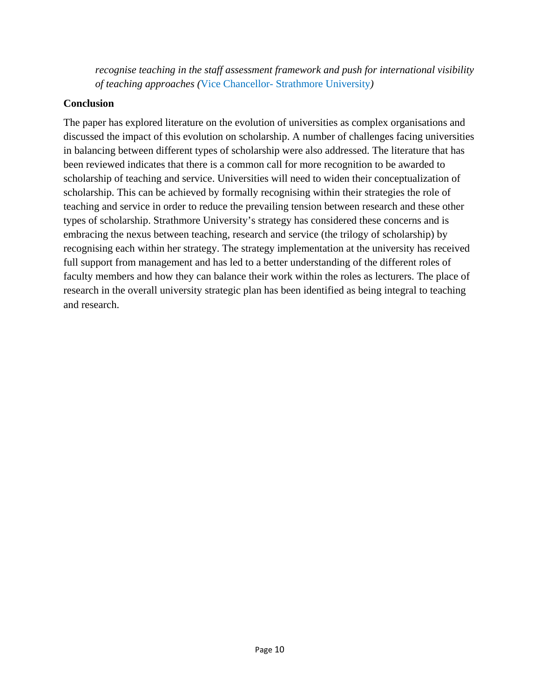*recognise teaching in the staff assessment framework and push for international visibility of teaching approaches (*Vice Chancellor- Strathmore University*)*

#### **Conclusion**

The paper has explored literature on the evolution of universities as complex organisations and discussed the impact of this evolution on scholarship. A number of challenges facing universities in balancing between different types of scholarship were also addressed. The literature that has been reviewed indicates that there is a common call for more recognition to be awarded to scholarship of teaching and service. Universities will need to widen their conceptualization of scholarship. This can be achieved by formally recognising within their strategies the role of teaching and service in order to reduce the prevailing tension between research and these other types of scholarship. Strathmore University's strategy has considered these concerns and is embracing the nexus between teaching, research and service (the trilogy of scholarship) by recognising each within her strategy. The strategy implementation at the university has received full support from management and has led to a better understanding of the different roles of faculty members and how they can balance their work within the roles as lecturers. The place of research in the overall university strategic plan has been identified as being integral to teaching and research.